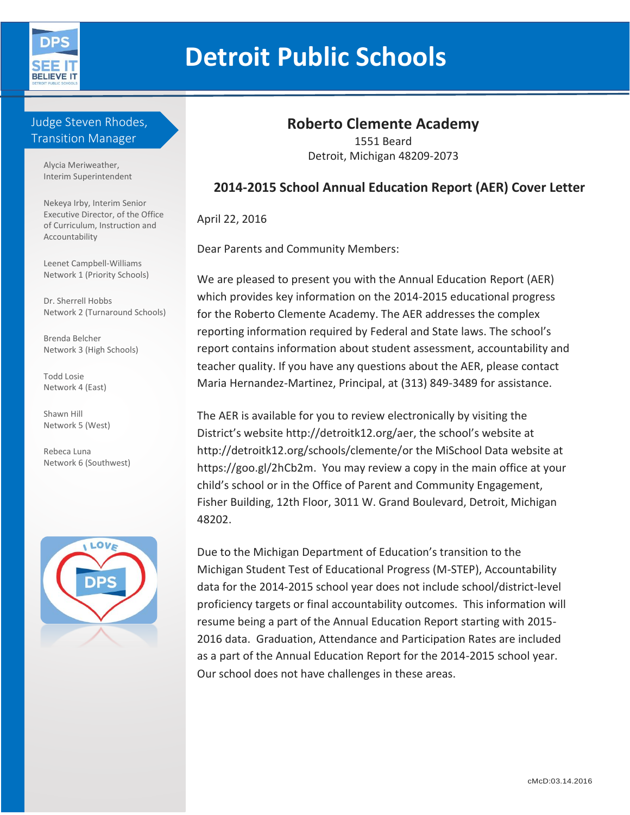

# **Detroit Public Schools**

## Judge Steven Rhodes, Transition Manager

Alycia Meriweather, Interim Superintendent

Nekeya Irby, Interim Senior Executive Director, of the Office of Curriculum, Instruction and Accountability

Leenet Campbell-Williams Network 1 (Priority Schools)

Dr. Sherrell Hobbs Network 2 (Turnaround Schools)

Brenda Belcher Network 3 (High Schools)

Todd Losie Network 4 (East)

Shawn Hill Network 5 (West)

Rebeca Luna Network 6 (Southwest)



# **Roberto Clemente Academy**

1551 Beard Detroit, Michigan 48209-2073

## **2014-2015 School Annual Education Report (AER) Cover Letter**

April 22, 2016

Dear Parents and Community Members:

We are pleased to present you with the Annual Education Report (AER) which provides key information on the 2014-2015 educational progress for the Roberto Clemente Academy. The AER addresses the complex reporting information required by Federal and State laws. The school's report contains information about student assessment, accountability and teacher quality. If you have any questions about the AER, please contact Maria Hernandez-Martinez, Principal, at (313) 849-3489 for assistance.

The AER is available for you to review electronically by visiting the District's website http://detroitk12.org/aer, the school's website at http://detroitk12.org/schools/clemente/or the MiSchool Data website at https://goo.gl/2hCb2m. You may review a copy in the main office at your child's school or in the Office of Parent and Community Engagement, Fisher Building, 12th Floor, 3011 W. Grand Boulevard, Detroit, Michigan 48202.

Due to the Michigan Department of Education's transition to the Michigan Student Test of Educational Progress (M-STEP), Accountability data for the 2014-2015 school year does not include school/district-level proficiency targets or final accountability outcomes. This information will resume being a part of the Annual Education Report starting with 2015- 2016 data. Graduation, Attendance and Participation Rates are included as a part of the Annual Education Report for the 2014-2015 school year. Our school does not have challenges in these areas.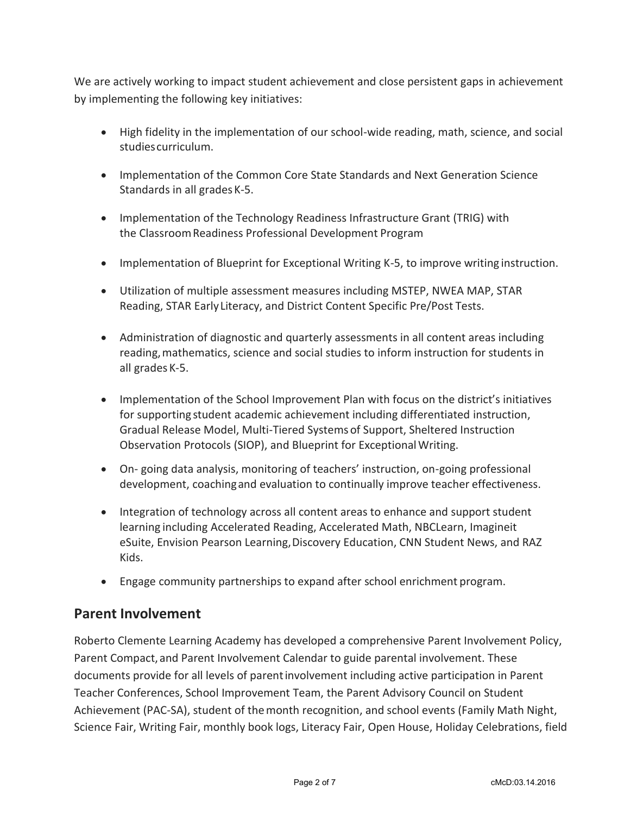We are actively working to impact student achievement and close persistent gaps in achievement by implementing the following key initiatives:

- High fidelity in the implementation of our school-wide reading, math, science, and social studiescurriculum.
- Implementation of the Common Core State Standards and Next Generation Science Standards in all grades K-5.
- Implementation of the Technology Readiness Infrastructure Grant (TRIG) with the ClassroomReadiness Professional Development Program
- Implementation of Blueprint for Exceptional Writing K-5, to improve writing instruction.
- Utilization of multiple assessment measures including MSTEP, NWEA MAP, STAR Reading, STAR EarlyLiteracy, and District Content Specific Pre/Post Tests.
- Administration of diagnostic and quarterly assessments in all content areas including reading,mathematics, science and social studies to inform instruction for students in all grades K-5.
- Implementation of the School Improvement Plan with focus on the district's initiatives for supporting student academic achievement including differentiated instruction, Gradual Release Model, Multi-Tiered Systems of Support, Sheltered Instruction Observation Protocols (SIOP), and Blueprint for Exceptional Writing.
- On- going data analysis, monitoring of teachers' instruction, on-going professional development, coachingand evaluation to continually improve teacher effectiveness.
- Integration of technology across all content areas to enhance and support student learning including Accelerated Reading, Accelerated Math, NBCLearn, Imagineit eSuite, Envision Pearson Learning,Discovery Education, CNN Student News, and RAZ Kids.
- Engage community partnerships to expand after school enrichment program.

# **Parent Involvement**

Roberto Clemente Learning Academy has developed a comprehensive Parent Involvement Policy, Parent Compact, and Parent Involvement Calendar to guide parental involvement. These documents provide for all levels of parentinvolvement including active participation in Parent Teacher Conferences, School Improvement Team, the Parent Advisory Council on Student Achievement (PAC-SA), student of themonth recognition, and school events (Family Math Night, Science Fair, Writing Fair, monthly book logs, Literacy Fair, Open House, Holiday Celebrations, field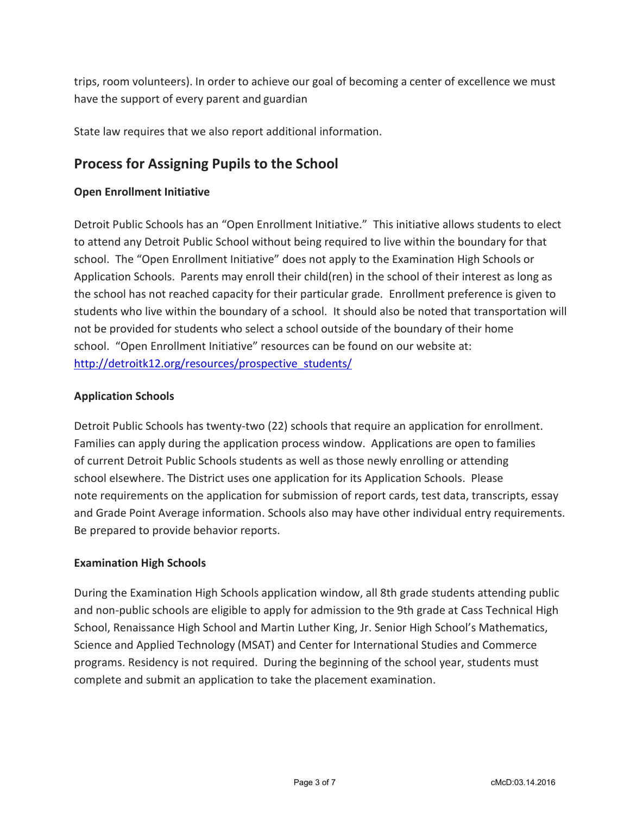trips, room volunteers). In order to achieve our goal of becoming a center of excellence we must have the support of every parent and guardian

State law requires that we also report additional information.

# **Process for Assigning Pupils to the School**

#### **Open Enrollment Initiative**

Detroit Public Schools has an "Open Enrollment Initiative." This initiative allows students to elect to attend any Detroit Public School without being required to live within the boundary for that school. The "Open Enrollment Initiative" does not apply to the Examination High Schools or Application Schools. Parents may enroll their child(ren) in the school of their interest as long as the school has not reached capacity for their particular grade. Enrollment preference is given to students who live within the boundary of a school. It should also be noted that transportation will not be provided for students who select a school outside of the boundary of their home school. "Open Enrollment Initiative" resources can be found on our website at: [http://detroitk12.org/resources/prospective\\_students/](http://detroitk12.org/resources/prospective_students/)

#### **Application Schools**

Detroit Public Schools has twenty-two (22) schools that require an application for enrollment. Families can apply during the application process window. Applications are open to families of current Detroit Public Schools students as well as those newly enrolling or attending school elsewhere. The District uses one application for its Application Schools. Please note requirements on the application for submission of report cards, test data, transcripts, essay and Grade Point Average information. Schools also may have other individual entry requirements. Be prepared to provide behavior reports.

#### **Examination High Schools**

During the Examination High Schools application window, all 8th grade students attending public and non-public schools are eligible to apply for admission to the 9th grade at Cass Technical High School, Renaissance High School and Martin Luther King, Jr. Senior High School's Mathematics, Science and Applied Technology (MSAT) and Center for International Studies and Commerce programs. Residency is not required. During the beginning of the school year, students must complete and submit an application to take the placement examination.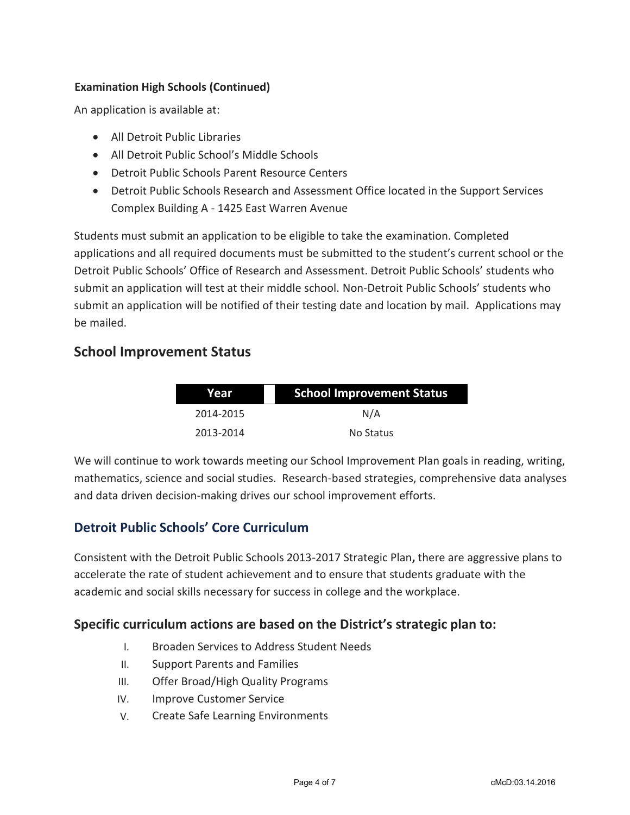#### **Examination High Schools (Continued)**

An application is available at:

- All Detroit Public Libraries
- All Detroit Public School's Middle Schools
- Detroit Public Schools Parent Resource Centers
- Detroit Public Schools Research and Assessment Office located in the Support Services Complex Building A - 1425 East Warren Avenue

Students must submit an application to be eligible to take the examination. Completed applications and all required documents must be submitted to the student's current school or the Detroit Public Schools' Office of Research and Assessment. Detroit Public Schools' students who submit an application will test at their middle school. Non-Detroit Public Schools' students who submit an application will be notified of their testing date and location by mail. Applications may be mailed.

# **School Improvement Status**

| Year      | <b>School Improvement Status</b> |  |
|-----------|----------------------------------|--|
| 2014-2015 | N/A                              |  |
| 2013-2014 | No Status                        |  |

We will continue to work towards meeting our School Improvement Plan goals in reading, writing, mathematics, science and social studies. Research-based strategies, comprehensive data analyses and data driven decision-making drives our school improvement efforts.

#### **Detroit Public Schools' Core Curriculum**

Consistent with the Detroit Public Schools 2013-2017 Strategic Plan**,** there are aggressive plans to accelerate the rate of student achievement and to ensure that students graduate with the academic and social skills necessary for success in college and the workplace.

#### **Specific curriculum actions are based on the District's strategic plan to:**

- I. Broaden Services to Address Student Needs
- II. Support Parents and Families
- III. Offer Broad/High Quality Programs
- IV. Improve Customer Service
- V. Create Safe Learning Environments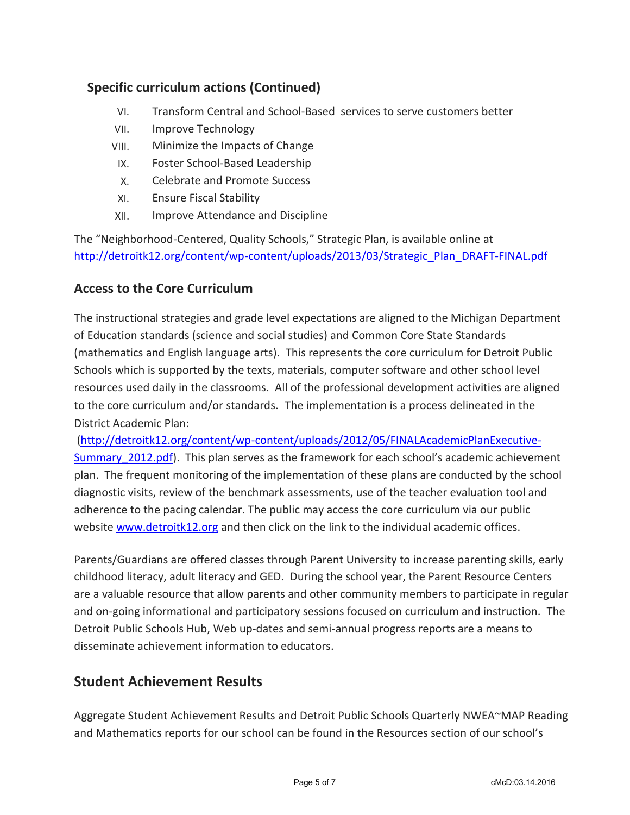# **Specific curriculum actions (Continued)**

- VI. Transform Central and School-Based services to serve customers better
- VII. Improve Technology
- VIII. Minimize the Impacts of Change
- IX. Foster School-Based Leadership
- X. Celebrate and Promote Success
- XI. Ensure Fiscal Stability
- XII. Improve Attendance and Discipline

The "Neighborhood-Centered, Quality Schools," Strategic Plan, is available online at [http://detroitk12.org/content/wp-content/uploads/2013/03/Strategic\\_Plan\\_DRAFT-FINAL.pdf](http://detroitk12.org/content/wp-content/uploads/2013/03/Strategic_Plan_DRAFT-FINAL.pdf)

#### **Access to the Core Curriculum**

The instructional strategies and grade level expectations are aligned to the Michigan Department of Education standards (science and social studies) and Common Core State Standards (mathematics and English language arts). This represents the core curriculum for Detroit Public Schools which is supported by the texts, materials, computer software and other school level resources used daily in the classrooms. All of the professional development activities are aligned to the core curriculum and/or standards. The implementation is a process delineated in the District Academic Plan:

[\(http://detroitk12.org/content/wp-content/uploads/2012/05/FINALAcademicPlanExecutive-](http://detroitk12.org/content/wp-content/uploads/2012/05/FINALAcademicPlanExecutive-Summary_2012.pdf)Summary 2012.pdf). This plan serves as the framework for each school's academic achievement plan. The frequent monitoring of the implementation of these plans are conducted by the school diagnostic visits, review of the benchmark assessments, use of the teacher evaluation tool and adherence to the pacing calendar. The public may access the core curriculum via our public website [www.detroitk12.org](http://www.detroitk12.org/) and then click on the link to the individual academic offices.

Parents/Guardians are offered classes through Parent University to increase parenting skills, early childhood literacy, adult literacy and GED. During the school year, the Parent Resource Centers are a valuable resource that allow parents and other community members to participate in regular and on-going informational and participatory sessions focused on curriculum and instruction. The Detroit Public Schools Hub, Web up-dates and semi-annual progress reports are a means to disseminate achievement information to educators.

# **Student Achievement Results**

Aggregate Student Achievement Results and Detroit Public Schools Quarterly NWEA~MAP Reading and Mathematics reports for our school can be found in the Resources section of our school's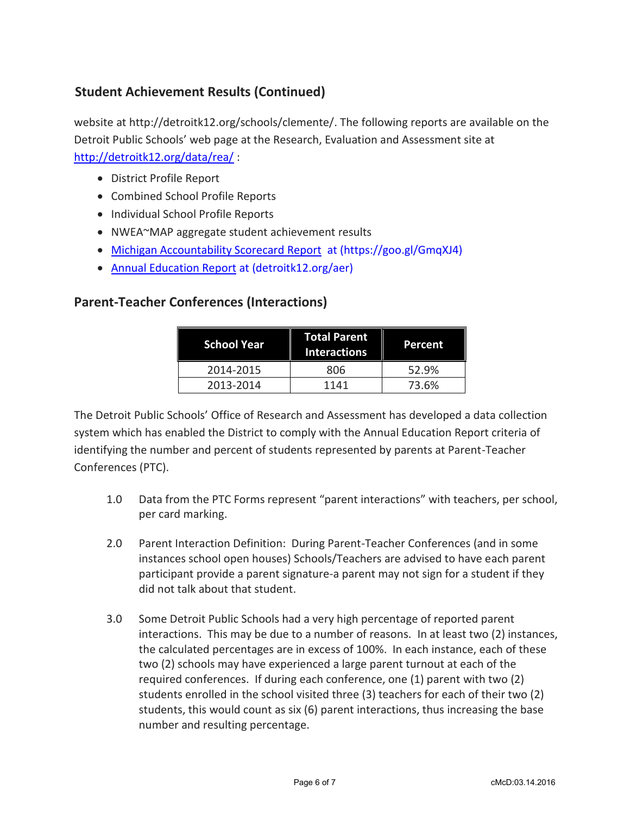# **Student Achievement Results (Continued)**

website at http://detroitk12.org/schools/clemente/. The following reports are available on the Detroit Public Schools' web page at the Research, Evaluation and Assessment site at <http://detroitk12.org/data/rea/> :

- District Profile Report
- Combined School Profile Reports
- Individual School Profile Reports
- NWEA~MAP aggregate student achievement results
- [Michigan Accountability Scorecard Report](https://goo.gl/GmqXJ4) at (https://goo.gl/GmqXJ4)
- [Annual Education Report](http://detroitk12.org/aer) at (detroitk12.org/aer)

#### **Parent-Teacher Conferences (Interactions)**

| 'School Year | <b>Total Parent</b><br><b>Interactions</b> | Percent |
|--------------|--------------------------------------------|---------|
| 2014-2015    | 806                                        | 52.9%   |
| 2013-2014    | 1141                                       | 73.6%   |

The Detroit Public Schools' Office of Research and Assessment has developed a data collection system which has enabled the District to comply with the Annual Education Report criteria of identifying the number and percent of students represented by parents at Parent-Teacher Conferences (PTC).

- 1.0 Data from the PTC Forms represent "parent interactions" with teachers, per school, per card marking.
- 2.0 Parent Interaction Definition: During Parent-Teacher Conferences (and in some instances school open houses) Schools/Teachers are advised to have each parent participant provide a parent signature-a parent may not sign for a student if they did not talk about that student.
- 3.0 Some Detroit Public Schools had a very high percentage of reported parent interactions. This may be due to a number of reasons. In at least two (2) instances, the calculated percentages are in excess of 100%. In each instance, each of these two (2) schools may have experienced a large parent turnout at each of the required conferences. If during each conference, one (1) parent with two (2) students enrolled in the school visited three (3) teachers for each of their two (2) students, this would count as six (6) parent interactions, thus increasing the base number and resulting percentage.